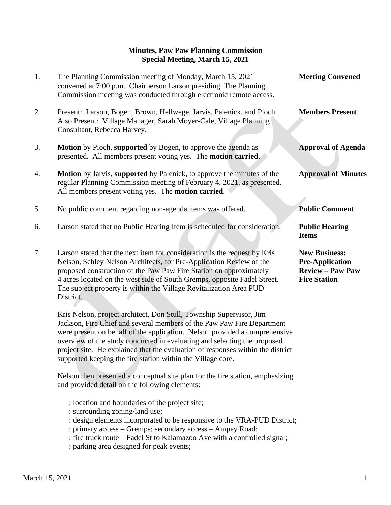## **Minutes, Paw Paw Planning Commission Special Meeting, March 15, 2021**

| 1. | The Planning Commission meeting of Monday, March 15, 2021<br>convened at 7:00 p.m. Chairperson Larson presiding. The Planning<br>Commission meeting was conducted through electronic remote access.                                                                                                                                                                                   | <b>Meeting Convened</b>                                                                          |
|----|---------------------------------------------------------------------------------------------------------------------------------------------------------------------------------------------------------------------------------------------------------------------------------------------------------------------------------------------------------------------------------------|--------------------------------------------------------------------------------------------------|
| 2. | Present: Larson, Bogen, Brown, Hellwege, Jarvis, Palenick, and Pioch.<br>Also Present: Village Manager, Sarah Moyer-Cale, Village Planning<br>Consultant, Rebecca Harvey.                                                                                                                                                                                                             | <b>Members Present</b>                                                                           |
| 3. | Motion by Pioch, supported by Bogen, to approve the agenda as<br>presented. All members present voting yes. The <b>motion carried</b> .                                                                                                                                                                                                                                               | <b>Approval of Agenda</b>                                                                        |
| 4. | <b>Motion</b> by Jarvis, supported by Palenick, to approve the minutes of the<br>regular Planning Commission meeting of February 4, 2021, as presented.<br>All members present voting yes. The <b>motion carried</b> .                                                                                                                                                                | <b>Approval of Minutes</b>                                                                       |
| 5. | No public comment regarding non-agenda items was offered.                                                                                                                                                                                                                                                                                                                             | <b>Public Comment</b>                                                                            |
| 6. | Larson stated that no Public Hearing Item is scheduled for consideration.                                                                                                                                                                                                                                                                                                             | <b>Public Hearing</b><br><b>Items</b>                                                            |
| 7. | Larson stated that the next item for consideration is the request by Kris<br>Nelson, Schley Nelson Architects, for Pre-Application Review of the<br>proposed construction of the Paw Paw Fire Station on approximately<br>4 acres located on the west side of South Gremps, opposite Fadel Street.<br>The subject property is within the Village Revitalization Area PUD<br>District. | <b>New Business:</b><br><b>Pre-Application</b><br><b>Review - Paw Paw</b><br><b>Fire Station</b> |

 Kris Nelson, project architect, Don Stull, Township Supervisor, Jim Jackson, Fire Chief and several members of the Paw Paw Fire Department were present on behalf of the application. Nelson provided a comprehensive overview of the study conducted in evaluating and selecting the proposed project site. He explained that the evaluation of responses within the district supported keeping the fire station within the Village core.

 Nelson then presented a conceptual site plan for the fire station, emphasizing and provided detail on the following elements:

- : location and boundaries of the project site;
- : surrounding zoning/land use;
- : design elements incorporated to be responsive to the VRA-PUD District;
- : primary access Gremps; secondary access Ampey Road;
- : fire truck route Fadel St to Kalamazoo Ave with a controlled signal;
- : parking area designed for peak events;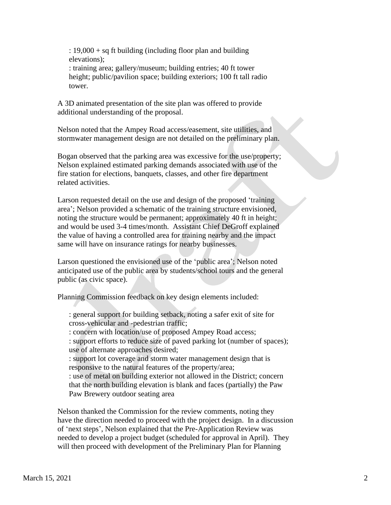: 19,000 + sq ft building (including floor plan and building elevations);

: training area; gallery/museum; building entries; 40 ft tower height; public/pavilion space; building exteriors; 100 ft tall radio tower.

 A 3D animated presentation of the site plan was offered to provide additional understanding of the proposal.

 Nelson noted that the Ampey Road access/easement, site utilities, and stormwater management design are not detailed on the preliminary plan.

 Bogan observed that the parking area was excessive for the use/property; Nelson explained estimated parking demands associated with use of the fire station for elections, banquets, classes, and other fire department related activities.

 Larson requested detail on the use and design of the proposed 'training area'; Nelson provided a schematic of the training structure envisioned, noting the structure would be permanent; approximately 40 ft in height; and would be used 3-4 times/month. Assistant Chief DeGroff explained the value of having a controlled area for training nearby and the impact same will have on insurance ratings for nearby businesses.

 Larson questioned the envisioned use of the 'public area'; Nelson noted anticipated use of the public area by students/school tours and the general public (as civic space).

Planning Commission feedback on key design elements included:

: general support for building setback, noting a safer exit of site for cross-vehicular and -pedestrian traffic;

: concern with location/use of proposed Ampey Road access;

: support efforts to reduce size of paved parking lot (number of spaces); use of alternate approaches desired;

: support lot coverage and storm water management design that is responsive to the natural features of the property/area;

: use of metal on building exterior not allowed in the District; concern that the north building elevation is blank and faces (partially) the Paw Paw Brewery outdoor seating area

 Nelson thanked the Commission for the review comments, noting they have the direction needed to proceed with the project design. In a discussion of 'next steps', Nelson explained that the Pre-Application Review was needed to develop a project budget (scheduled for approval in April). They will then proceed with development of the Preliminary Plan for Planning